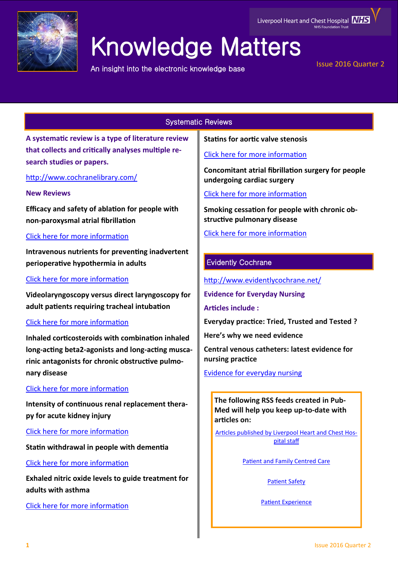

# Knowledge Matters

An insight into the electronic knowledge base

Liverpool Heart and Chest Hospital **NHS** 

# Issue 2016 Quarter 2

# Systematic Reviews

**A systematic review is a type of literature review that collects and critically analyses multiple research studies or papers.** 

<http://www.cochranelibrary.com/>

# **New Reviews**

**Efficacy and safety of ablation for people with non-paroxysmal atrial fibrillation**

# [Click here for more information](http://onlinelibrary.wiley.com/doi/10.1002/14651858.CD012088.pub2/full)

**Intravenous nutrients for preventing inadvertent perioperative hypothermia in adults**

# [Click here for more information](http://onlinelibrary.wiley.com/doi/10.1002/14651858.CD009906.pub2/full)

**Videolaryngoscopy versus direct laryngoscopy for adult patients requiring tracheal intubation**

# [Click here for more information](http://onlinelibrary.wiley.com/doi/10.1002/14651858.CD011136.pub2/full)

**Inhaled corticosteroids with combination inhaled long-acting beta2-agonists and long-acting muscarinic antagonists for chronic obstructive pulmonary disease**

# [Click here for more information](http://onlinelibrary.wiley.com/doi/10.1002/14651858.CD011600.pub2/full)

**Intensity of continuous renal replacement therapy for acute kidney injury**

[Click here for more information](http://onlinelibrary.wiley.com/doi/10.1002/14651858.CD010613.pub2/full)

**Statin withdrawal in people with dementia**

[Click here for more information](http://onlinelibrary.wiley.com/doi/10.1002/14651858.CD012050.pub2/full)

**Exhaled nitric oxide levels to guide treatment for adults with asthma**

[Click here for more information](http://onlinelibrary.wiley.com/doi/10.1002/14651858.CD011440.pub2/full)

**Statins for aortic valve stenosis**

[Click here for more information](http://onlinelibrary.wiley.com/doi/10.1002/14651858.CD009571.pub2/full)

**Concomitant atrial fibrillation surgery for people undergoing cardiac surgery**

[Click here for more information](http://onlinelibrary.wiley.com/doi/10.1002/14651858.CD011814.pub2/full)

**Smoking cessation for people with chronic obstructive pulmonary disease**

[Click here for more information](http://onlinelibrary.wiley.com/doi/10.1002/14651858.CD010744.pub2/full)

# Evidently Cochrane

<http://www.evidentlycochrane.net/>

**Evidence for Everyday Nursing** 

**Articles include :**

**Everyday practice: Tried, Trusted and Tested ?**

**Here's why we need evidence**

**Central venous catheters: latest evidence for nursing practice** 

[Evidence for everyday nursing](http://www.evidentlycochrane.net/category/evidence-for-everyday-nursing/)

**The following RSS feeds created in Pub-Med will help you keep up-to-date with articles on:**

[Articles published by Liverpool Heart and Chest Hos](http://eutils.ncbi.nlm.nih.gov/entrez/eutils/erss.cgi?rss_guid=1jmC0p0kwOiCcrGq4UdlH-eTmaOgJ316E2QW_6DKsMnynMiQ2d)[pital staff](http://eutils.ncbi.nlm.nih.gov/entrez/eutils/erss.cgi?rss_guid=1jmC0p0kwOiCcrGq4UdlH-eTmaOgJ316E2QW_6DKsMnynMiQ2d) 

[Patient and Family Centred Care](http://www.ncbi.nlm.nih.gov/entrez/eutils/erss.cgi?rss_guid=16K3KD07Pca5ZFI-lF5DGfSPlctDiQG7XPTZRSg6AabjeA4ohf)

[Patient Safety](http://www.ncbi.nlm.nih.gov/entrez/eutils/erss.cgi?rss_guid=1NGmwZeh8JwWIymk0qVwZ1xmB5lT2M8ivwpkcaaYzbs50kxsrJ)

[Patient Experience](http://www.ncbi.nlm.nih.gov/entrez/eutils/erss.cgi?rss_guid=1fYfMzmpBkC-YVq4dMG9nosFx7yH1No241UNjq8peT-fA2RkGA)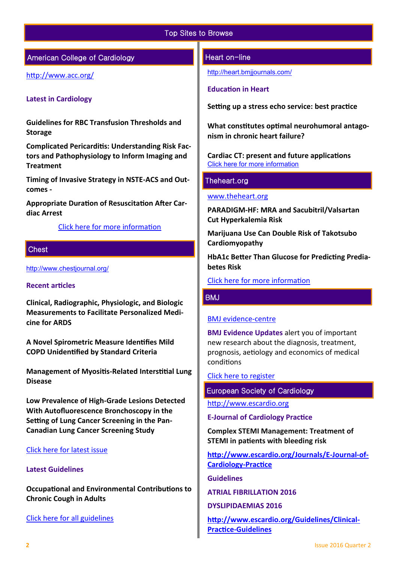# Top Sites to Browse

# American College of Cardiology

<http://www.acc.org/>

# **Latest in Cardiology**

**Guidelines for RBC Transfusion Thresholds and Storage** 

**Complicated Pericarditis: Understanding Risk Factors and Pathophysiology to Inform Imaging and Treatment**

**Timing of Invasive Strategy in NSTE-ACS and Outcomes -**

**Appropriate Duration of Resuscitation After Cardiac Arrest** 

## [Click here for more information](http://www.acc.org/latest-in-cardiology#sort=%40foriginalz32xpostedz32xdate86069%20descending)

# **Chest**

### <http://www.chestjournal.org/>

## **Recent articles**

**Clinical, Radiographic, Physiologic, and Biologic Measurements to Facilitate Personalized Medicine for ARDS**

**A Novel Spirometric Measure Identifies Mild COPD Unidentified by Standard Criteria**

**Management of Myositis-Related Interstitial Lung Disease**

**Low Prevalence of High-Grade Lesions Detected With Autofluorescence Bronchoscopy in the Setting of Lung Cancer Screening in the Pan-Canadian Lung Cancer Screening Study**

## [Click here for latest issue](http://journal.publications.chestnet.org/issue.aspx)

#### **Latest Guidelines**

**Occupational and Environmental Contributions to Chronic Cough in Adults**

[Click here for all guidelines](http://journal.publications.chestnet.org/ss/guidelines.aspx)

## Heart on-line

<http://heart.bmjjournals.com/>

**Education in Heart** 

**Setting up a stress echo service: best practice**

**What constitutes optimal neurohumoral antagonism in chronic heart failure?**

**Cardiac CT: present and future applications** [Click here for more information](http://heart.bmj.com/content/current)

# Theheart.org

[www.theheart.org](http://www.theheart.org/)

**PARADIGM-HF: MRA and Sacubitril/Valsartan Cut Hyperkalemia Risk**

**Marijuana Use Can Double Risk of Takotsubo Cardiomyopathy**

**HbA1c Better Than Glucose for Predicting Prediabetes Risk**

[Click here for more information](http://www.medscape.com/cardiology?t=1)

## BMJ

## [BMJ evidence](http://plus.mcmaster.ca/EvidenceUpdates/Default.aspx)-centre

**BMJ Evidence Updates** alert you of important new research about the diagnosis, treatment, prognosis, aetiology and economics of medical conditions

## [Click here to register](http://plus.mcmaster.ca/EvidenceUpdates/Registration.aspx)

European Society of Cardiology

[http://www.escardio.org](http://www.escardio.org/Pages/index.aspx)

#### **E-Journal of Cardiology Practice**

**Complex STEMI Management: Treatment of STEMI in patients with bleeding risk**

**[http://www.escardio.org/Journals/E](http://www.escardio.org/Journals/E-Journal-of-Cardiology-Practice)-Journal-of-[Cardiology](http://www.escardio.org/Journals/E-Journal-of-Cardiology-Practice)-Practice**

**Guidelines** 

**ATRIAL FIBRILLATION 2016** 

**DYSLIPIDAEMIAS 2016**

**[http://www.escardio.org/Guidelines/Clinical](Click%20here%20for%20all%20guidelines)-Practice-[Guidelines](Click%20here%20for%20all%20guidelines)**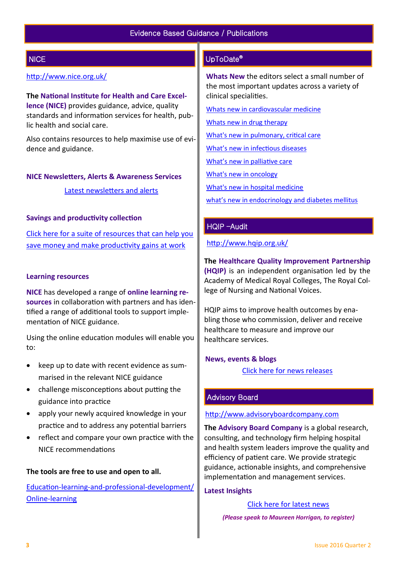# **NICE**

# <http://www.nice.org.uk/>

**The National Institute for Health and Care Excellence (NICE)** provides guidance, advice, quality standards and information services for health, public health and social care.

Also contains resources to help maximise use of evidence and guidance.

#### **NICE Newsletters, Alerts & Awareness Services**

[Latest newsletters and alerts](http://www.nice.org.uk/news/nice-newsletters-and-alerts)

## **Savings and productivity collection**

[Click here for a suite of resources that can help you](https://www.nice.org.uk/about/What-we-do/Our-Programmes/Savings-And-Productivity-Collection)  [save money and make productivity gains at work](https://www.nice.org.uk/about/What-we-do/Our-Programmes/Savings-And-Productivity-Collection)

## **Learning resources**

**NICE** has developed a range of **online learning resources** in collaboration with partners and has identified a range of additional tools to support implementation of NICE guidance.

Using the online education modules will enable you to:

- keep up to date with recent evidence as summarised in the relevant NICE guidance
- challenge misconceptions about putting the guidance into practice
- apply your newly acquired knowledge in your practice and to address any potential barriers
- reflect and compare your own practice with the NICE recommendations

## **The tools are free to use and open to all.**

Education-learning-and-professional-[development/](https://www.nice.org.uk/About/What-we-do/Into-practice/Education-learning-and-professional-development/Online-learning) Online-[learning](https://www.nice.org.uk/About/What-we-do/Into-practice/Education-learning-and-professional-development/Online-learning)

# UpToDate®

**Whats New** the editors select a small number of the most important updates across a variety of clinical specialities.

[Whats new in cardiovascular medicine](http://www.uptodate.com/contents/whats-new-in-cardiovascular-medicine)

[Whats new in drug therapy](http://www.uptodate.com/contents/whats-new-in-drug-therapy)

[What's new in pulmonary, critical care](http://www.uptodate.com/contents/whats-new-in-pulmonary-critical-care-and-sleep-medicine)

[What's new in infectious diseases](http://www.uptodate.com/contents/whats-new-in-infectious-diseases)

[What's new in palliative care](http://www.uptodate.com/contents/whats-new-in-palliative-care)

[What's new in oncology](http://www.uptodate.com/contents/whats-new-in-oncology)

[What's new in hospital medicine](http://www.uptodate.com/contents/whats-new-in-hospital-medicine)

[what's new in endocrinology and diabetes mellitus](http://www.uptodate.com/contents/whats-new-in-endocrinology-and-diabetes-mellitus)

# HQIP –Audit

<http://www.hqip.org.uk/>

**The Healthcare Quality Improvement Partnership (HQIP)** is an independent organisation led by the Academy of Medical Royal Colleges, The Royal College of Nursing and National Voices.

HQIP aims to improve health outcomes by enabling those who commission, deliver and receive healthcare to measure and improve our healthcare services.

## **News, events & blogs**

[Click here for news releases](http://www.hqip.org.uk/news-releases/)

# Advisory Board

## [http://www.advisoryboardcompany.com](http://www.advisoryboardcompany.com/)

**The Advisory Board Company** is a global research, consulting, and technology firm helping hospital and health system leaders improve the quality and efficiency of patient care. We provide strategic guidance, actionable insights, and comprehensive implementation and management services.

## **Latest Insights**

[Click here for latest news](http://www.advisory.com/International)

 *(Please speak to Maureen Horrigan, to register)*